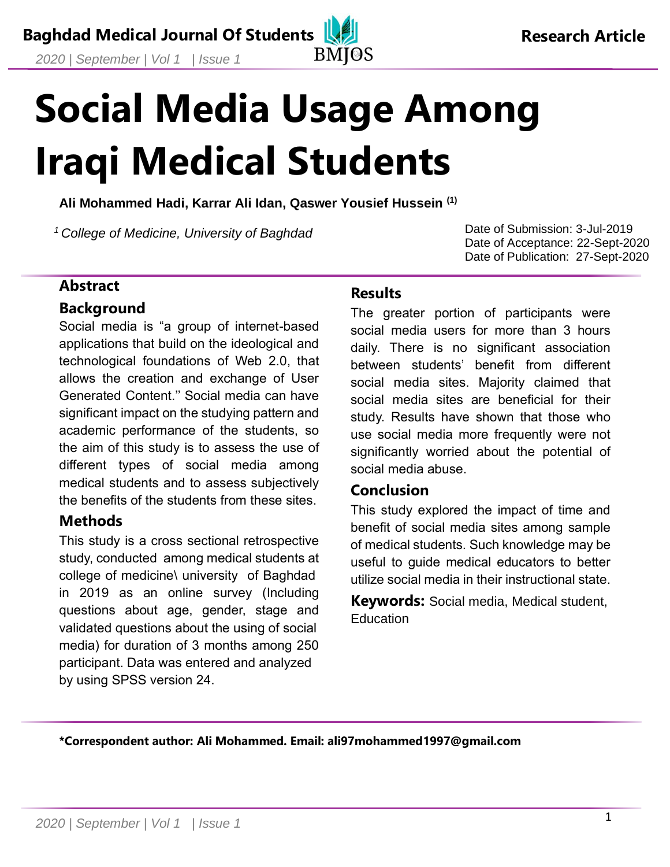# **Social Media Usage Among Iraqi Medical Students**

**Ali Mohammed Hadi, Karrar Ali Idan, Qaswer Yousief Hussein (1)**

*<sup>1</sup>College of Medicine, University of Baghdad*

Date of Submission: 3-Jul-2019 Date of Acceptance: 22-Sept-2020 Date of Publication: 27-Sept-2020

#### **Abstract**

#### **Background**

Social media is "a group of internet-based applications that build on the ideological and technological foundations of Web 2.0, that allows the creation and exchange of User Generated Content.'' Social media can have significant impact on the studying pattern and academic performance of the students, so the aim of this study is to assess the use of different types of social media among medical students and to assess subjectively the benefits of the students from these sites.

## **Methods**

This study is a cross sectional retrospective study, conducted among medical students at college of medicine\ university of Baghdad in 2019 as an online survey (Including questions about age, gender, stage and validated questions about the using of social media) for duration of 3 months among 250 participant. Data was entered and analyzed by using SPSS version 24.

#### **Results**

The greater portion of participants were social media users for more than 3 hours daily. There is no significant association between students' benefit from different social media sites. Majority claimed that social media sites are beneficial for their study. Results have shown that those who use social media more frequently were not significantly worried about the potential of social media abuse.

#### **Conclusion**

This study explored the impact of time and benefit of social media sites among sample of medical students. Such knowledge may be useful to guide medical educators to better utilize social media in their instructional state.

**Keywords:** Social media, Medical student, **Education** 

**\*Correspondent author: Ali Mohammed. Email: ali97mohammed1997@gmail.com**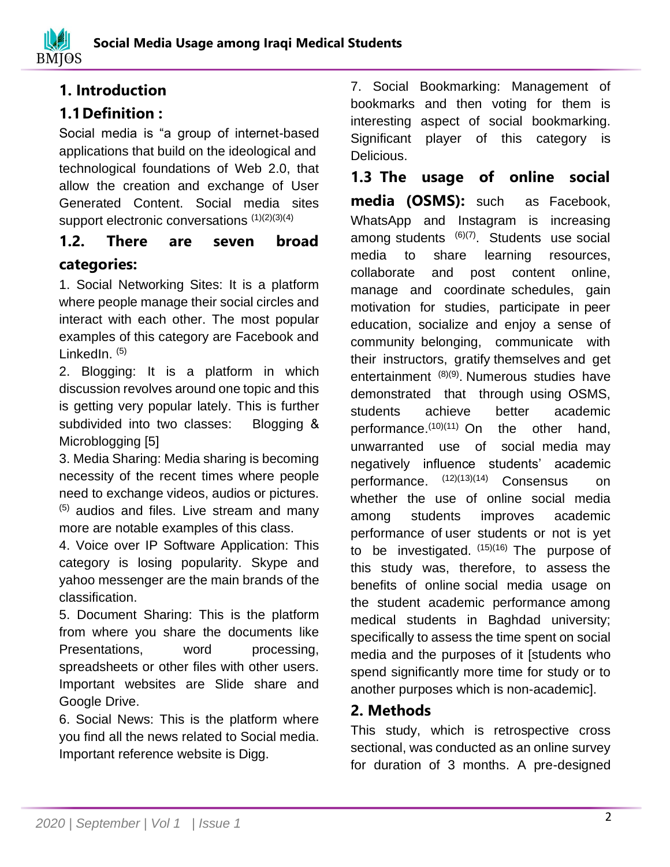# **1. Introduction**

# **1.1Definition :**

Social media is "a group of internet-based applications that build on the ideological and technological foundations of Web 2.0, that allow the creation and exchange of User Generated Content. Social media sites support electronic conversations (1)(2)(3)(4)

# **1.2. There are seven broad categories:**

1. Social Networking Sites: It is a platform where people manage their social circles and interact with each other. The most popular examples of this category are Facebook and LinkedIn.<sup>(5)</sup>

2. Blogging: It is a platform in which discussion revolves around one topic and this is getting very popular lately. This is further subdivided into two classes: Blogging & Microblogging [5]

3. Media Sharing: Media sharing is becoming necessity of the recent times where people need to exchange videos, audios or pictures.  $(5)$  audios and files. Live stream and many more are notable examples of this class.

4. Voice over IP Software Application: This category is losing popularity. Skype and yahoo messenger are the main brands of the classification.

5. Document Sharing: This is the platform from where you share the documents like Presentations, word processing, spreadsheets or other files with other users. Important websites are Slide share and Google Drive.

6. Social News: This is the platform where you find all the news related to Social media. Important reference website is Digg.

7. Social Bookmarking: Management of bookmarks and then voting for them is interesting aspect of social bookmarking. Significant player of this category is Delicious.

**1.3 The usage of online social media (OSMS):** such as Facebook, WhatsApp and Instagram is increasing among students (6)(7). Students use social media to share learning resources, collaborate and post content online, manage and coordinate schedules, gain motivation for studies, participate in peer education, socialize and enjoy a sense of community belonging, communicate with their instructors, gratify themselves and get entertainment (8)(9). Numerous studies have demonstrated that through using OSMS, students achieve better academic performance.<sup>(10)(11)</sup> On the other hand, unwarranted use of social media may negatively influence students' academic performance.  $(12)(13)(14)$ Consensus on whether the use of online social media among students improves academic performance of user students or not is yet to be investigated.  $(15)(16)$  The purpose of this study was, therefore, to assess the benefits of online social media usage on the student academic performance among medical students in Baghdad university; specifically to assess the time spent on social media and the purposes of it [students who spend significantly more time for study or to another purposes which is non-academic].

# **2. Methods**

This study, which is retrospective cross sectional, was conducted as an online survey for duration of 3 months. A pre-designed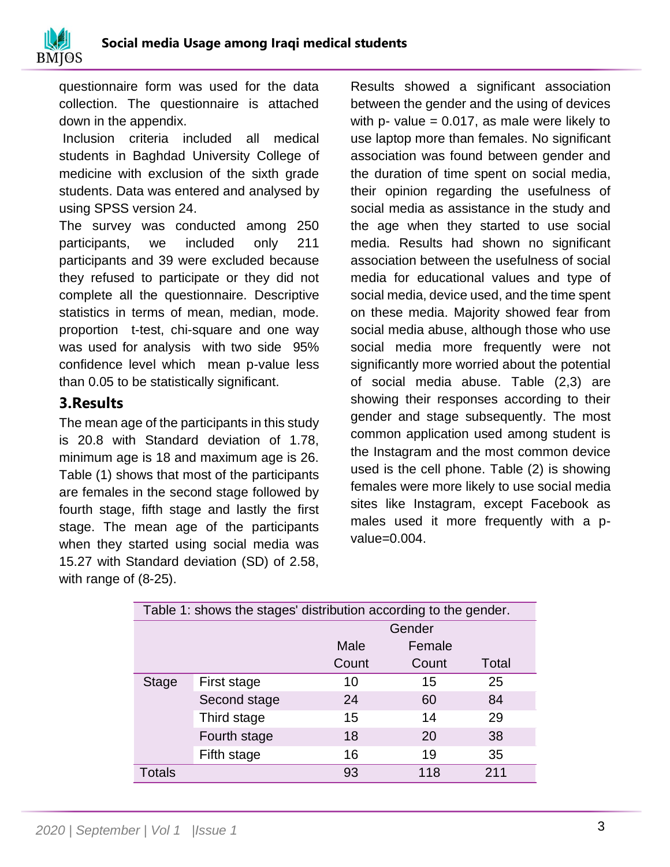

questionnaire form was used for the data collection. The questionnaire is attached down in the appendix.

Inclusion criteria included all medical students in Baghdad University College of medicine with exclusion of the sixth grade students. Data was entered and analysed by using SPSS version 24.

The survey was conducted among 250 participants, we included only 211 participants and 39 were excluded because they refused to participate or they did not complete all the questionnaire. Descriptive statistics in terms of mean, median, mode. proportion t-test, chi-square and one way was used for analysis with two side 95% confidence level which mean p-value less than 0.05 to be statistically significant.

## **3.Results**

The mean age of the participants in this study is 20.8 with Standard deviation of 1.78, minimum age is 18 and maximum age is 26. Table (1) shows that most of the participants are females in the second stage followed by fourth stage, fifth stage and lastly the first stage. The mean age of the participants when they started using social media was 15.27 with Standard deviation (SD) of 2.58, with range of (8-25).

Results showed a significant association between the gender and the using of devices with p- value  $= 0.017$ , as male were likely to use laptop more than females. No significant association was found between gender and the duration of time spent on social media, their opinion regarding the usefulness of social media as assistance in the study and the age when they started to use social media. Results had shown no significant association between the usefulness of social media for educational values and type of social media, device used, and the time spent on these media. Majority showed fear from social media abuse, although those who use social media more frequently were not significantly more worried about the potential of social media abuse. Table (2,3) are showing their responses according to their gender and stage subsequently. The most common application used among student is the Instagram and the most common device used is the cell phone. Table (2) is showing females were more likely to use social media sites like Instagram, except Facebook as males used it more frequently with a pvalue=0.004.

| Table 1: shows the stages' distribution according to the gender. |              |       |        |       |  |  |  |
|------------------------------------------------------------------|--------------|-------|--------|-------|--|--|--|
|                                                                  | Gender       |       |        |       |  |  |  |
|                                                                  |              | Male  | Female |       |  |  |  |
|                                                                  |              | Count | Count  | Total |  |  |  |
| <b>Stage</b>                                                     | First stage  | 10    | 15     | 25    |  |  |  |
|                                                                  | Second stage | 24    | 60     | 84    |  |  |  |
|                                                                  | Third stage  | 15    | 14     | 29    |  |  |  |
|                                                                  | Fourth stage | 18    | 20     | 38    |  |  |  |
|                                                                  | Fifth stage  | 16    | 19     | 35    |  |  |  |
| Totals                                                           |              | 93    | 118    | 211   |  |  |  |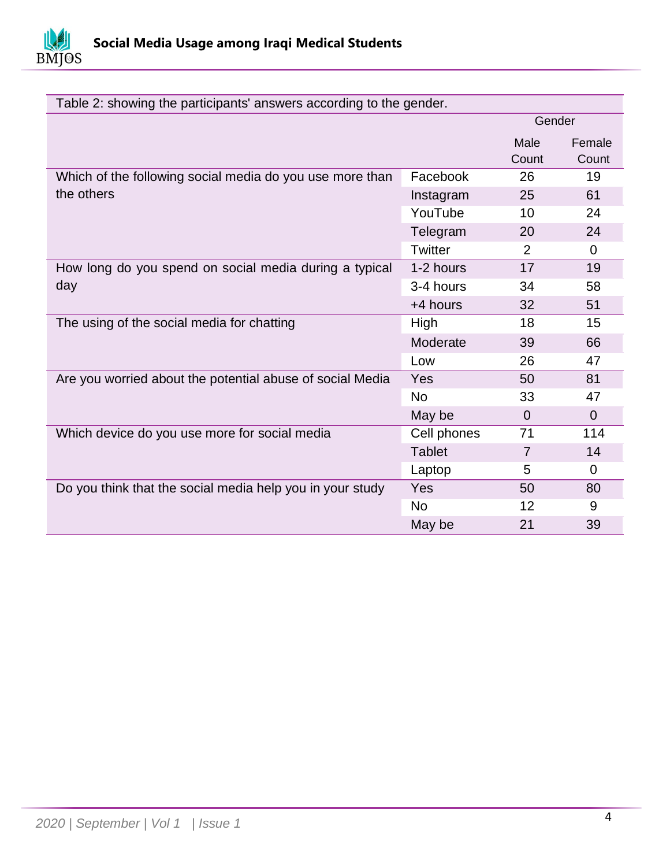

| Table 2: showing the participants' answers according to the gender. |               |                   |                |  |  |  |
|---------------------------------------------------------------------|---------------|-------------------|----------------|--|--|--|
|                                                                     | Gender        |                   |                |  |  |  |
|                                                                     |               | Male              | Female         |  |  |  |
|                                                                     |               | Count             | Count          |  |  |  |
| Which of the following social media do you use more than            | Facebook      | 26                | 19             |  |  |  |
| the others                                                          | Instagram     | 25                | 61             |  |  |  |
|                                                                     | YouTube       | 10                | 24             |  |  |  |
|                                                                     | Telegram      | 20                | 24             |  |  |  |
|                                                                     | Twitter       | 2                 | $\Omega$       |  |  |  |
| How long do you spend on social media during a typical              | 1-2 hours     | 17                | 19             |  |  |  |
| day                                                                 | 3-4 hours     | 34                | 58             |  |  |  |
|                                                                     | +4 hours      | 32                | 51             |  |  |  |
| The using of the social media for chatting                          | High          | 18                | 15             |  |  |  |
|                                                                     | Moderate      | 39                | 66             |  |  |  |
|                                                                     | Low           | 26                | 47             |  |  |  |
| Are you worried about the potential abuse of social Media           | <b>Yes</b>    | 50                | 81             |  |  |  |
|                                                                     | <b>No</b>     | 33                | 47             |  |  |  |
|                                                                     | May be        | $\overline{0}$    | $\overline{0}$ |  |  |  |
| Which device do you use more for social media                       | Cell phones   | 71                | 114            |  |  |  |
|                                                                     | <b>Tablet</b> | $\overline{7}$    | 14             |  |  |  |
|                                                                     | Laptop        | 5                 | $\mathbf 0$    |  |  |  |
| Do you think that the social media help you in your study           | Yes           | 50                | 80             |  |  |  |
|                                                                     | <b>No</b>     | $12 \overline{ }$ | 9              |  |  |  |
|                                                                     | May be        | 21                | 39             |  |  |  |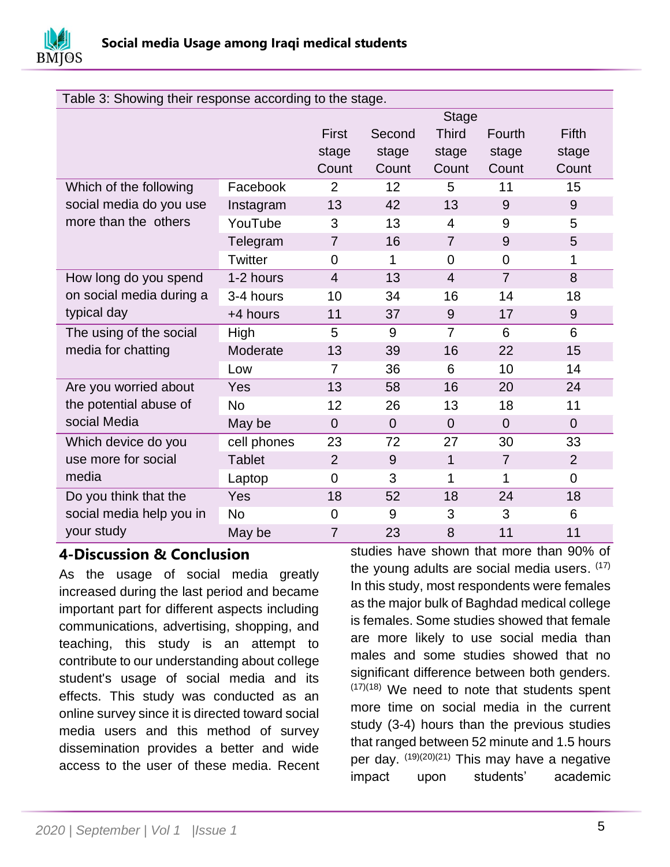

| Table 3: Showing their response according to the stage. |                |                |                |                |                |                |  |  |  |
|---------------------------------------------------------|----------------|----------------|----------------|----------------|----------------|----------------|--|--|--|
|                                                         |                | <b>Stage</b>   |                |                |                |                |  |  |  |
|                                                         |                | <b>First</b>   | Second         | <b>Third</b>   | Fourth         | <b>Fifth</b>   |  |  |  |
|                                                         |                | stage          | stage          | stage          | stage          | stage          |  |  |  |
|                                                         |                | Count          | Count          | Count          | Count          | Count          |  |  |  |
| Which of the following                                  | Facebook       | $\overline{2}$ | 12             | 5              | 11             | 15             |  |  |  |
| social media do you use                                 | Instagram      | 13             | 42             | 13             | 9              | 9              |  |  |  |
| more than the others                                    | YouTube        | 3              | 13             | $\overline{4}$ | 9              | 5              |  |  |  |
|                                                         | Telegram       | $\overline{7}$ | 16             | $\overline{7}$ | 9              | 5              |  |  |  |
|                                                         | <b>Twitter</b> | $\Omega$       | 1              | $\mathbf 0$    | $\mathbf 0$    | 1              |  |  |  |
| How long do you spend                                   | 1-2 hours      | $\overline{4}$ | 13             | $\overline{4}$ | $\overline{7}$ | 8              |  |  |  |
| on social media during a                                | 3-4 hours      | 10             | 34             | 16             | 14             | 18             |  |  |  |
| typical day                                             | +4 hours       | 11             | 37             | 9              | 17             | 9              |  |  |  |
| The using of the social                                 | High           | 5              | 9              | $\overline{7}$ | 6              | 6              |  |  |  |
| media for chatting                                      | Moderate       | 13             | 39             | 16             | 22             | 15             |  |  |  |
|                                                         | Low            | $\overline{7}$ | 36             | 6              | 10             | 14             |  |  |  |
| Are you worried about                                   | Yes            | 13             | 58             | 16             | 20             | 24             |  |  |  |
| the potential abuse of                                  | <b>No</b>      | 12             | 26             | 13             | 18             | 11             |  |  |  |
| social Media                                            | May be         | $\overline{0}$ | $\overline{0}$ | $\overline{0}$ | $\overline{0}$ | $\overline{0}$ |  |  |  |
| Which device do you                                     | cell phones    | 23             | 72             | 27             | 30             | 33             |  |  |  |
| use more for social                                     | <b>Tablet</b>  | $\overline{2}$ | 9              | $\mathbf{1}$   | $\overline{7}$ | $\overline{2}$ |  |  |  |
| media                                                   | Laptop         | $\mathbf 0$    | 3              | 1              | 1              | $\overline{0}$ |  |  |  |
| Do you think that the                                   | Yes            | 18             | 52             | 18             | 24             | 18             |  |  |  |
| social media help you in                                | <b>No</b>      | $\overline{0}$ | 9              | 3              | 3              | 6              |  |  |  |
| your study                                              | May be         | $\overline{7}$ | 23             | 8              | 11             | 11             |  |  |  |

## **4-Discussion & Conclusion**

As the usage of social media greatly increased during the last period and became important part for different aspects including communications, advertising, shopping, and teaching, this study is an attempt to contribute to our understanding about college student's usage of social media and its effects. This study was conducted as an online survey since it is directed toward social media users and this method of survey dissemination provides a better and wide access to the user of these media. Recent

studies have shown that more than 90% of the young adults are social media users. (17) In this study, most respondents were females as the major bulk of Baghdad medical college is females. Some studies showed that female are more likely to use social media than males and some studies showed that no significant difference between both genders. (17)(18) We need to note that students spent more time on social media in the current study (3-4) hours than the previous studies that ranged between 52 minute and 1.5 hours per day. <sup>(19)(20)(21)</sup> This may have a negative impact upon students' academic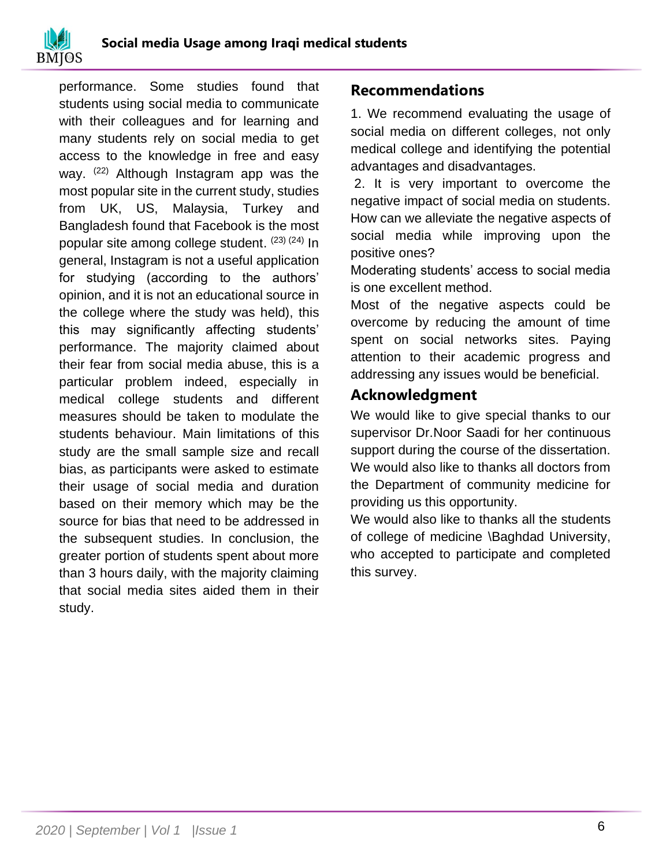

performance. Some studies found that students using social media to communicate with their colleagues and for learning and many students rely on social media to get access to the knowledge in free and easy way.  $(22)$  Although Instagram app was the most popular site in the current study, studies from UK, US, Malaysia, Turkey and Bangladesh found that Facebook is the most popular site among college student. <sup>(23) (24)</sup> In general, Instagram is not a useful application for studying (according to the authors' opinion, and it is not an educational source in the college where the study was held), this this may significantly affecting students' performance. The majority claimed about their fear from social media abuse, this is a particular problem indeed, especially in medical college students and different measures should be taken to modulate the students behaviour. Main limitations of this study are the small sample size and recall bias, as participants were asked to estimate their usage of social media and duration based on their memory which may be the source for bias that need to be addressed in the subsequent studies. In conclusion, the greater portion of students spent about more than 3 hours daily, with the majority claiming that social media sites aided them in their study.

#### **Recommendations**

1. We recommend evaluating the usage of social media on different colleges, not only medical college and identifying the potential advantages and disadvantages.

2. It is very important to overcome the negative impact of social media on students. How can we alleviate the negative aspects of social media while improving upon the positive ones?

Moderating students' access to social media is one excellent method.

Most of the negative aspects could be overcome by reducing the amount of time spent on social networks sites. Paying attention to their academic progress and addressing any issues would be beneficial.

## **Acknowledgment**

We would like to give special thanks to our supervisor Dr.Noor Saadi for her continuous support during the course of the dissertation. We would also like to thanks all doctors from the Department of community medicine for providing us this opportunity.

We would also like to thanks all the students of college of medicine \Baghdad University, who accepted to participate and completed this survey.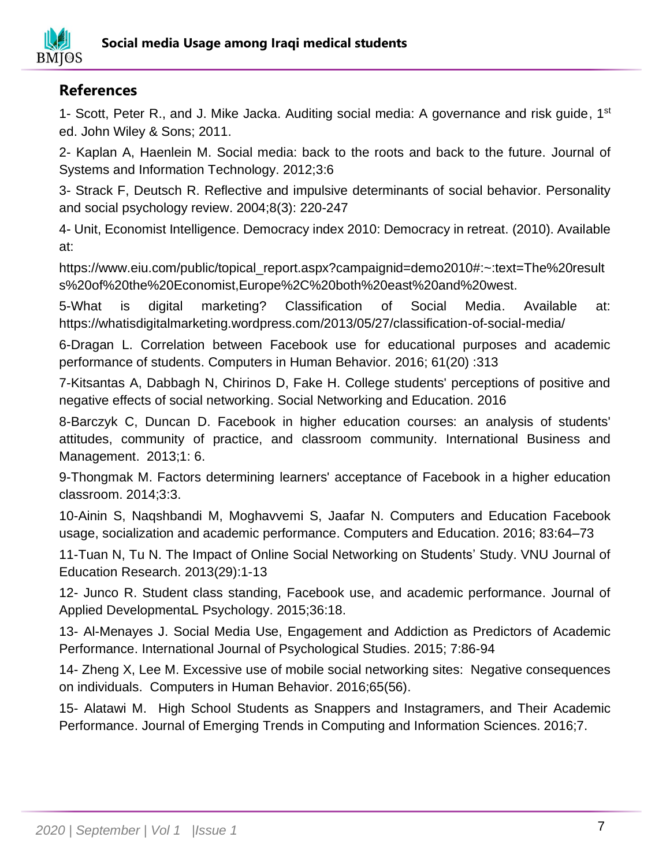

## **References**

1- Scott, Peter R., and J. Mike Jacka. Auditing social media: A governance and risk guide, 1<sup>st</sup> ed. John Wiley & Sons; 2011.

2- Kaplan A, Haenlein M. Social media: back to the roots and back to the future. Journal of Systems and Information Technology. 2012;3:6

3- Strack F, Deutsch R. Reflective and impulsive determinants of social behavior. Personality and social psychology review. 2004;8(3): 220-247

4- Unit, Economist Intelligence. Democracy index 2010: Democracy in retreat. (2010). Available at:

https://www.eiu.com/public/topical\_report.aspx?campaignid=demo2010#:~:text=The%20result s%20of%20the%20Economist,Europe%2C%20both%20east%20and%20west.

5-What is digital marketing? Classification of Social Media. Available at: https://whatisdigitalmarketing.wordpress.com/2013/05/27/classification-of-social-media/

6-Dragan L. Correlation between Facebook use for educational purposes and academic performance of students. Computers in Human Behavior. 2016; 61(20) :313

7-Kitsantas A, Dabbagh N, Chirinos D, Fake H. College students' perceptions of positive and negative effects of social networking. Social Networking and Education. 2016

8-Barczyk C, Duncan D. Facebook in higher education courses: an analysis of students' attitudes, community of practice, and classroom community. International Business and Management. 2013;1: 6.

9-Thongmak M. Factors determining learners' acceptance of Facebook in a higher education classroom. 2014;3:3.

10-Ainin S, Naqshbandi M, Moghavvemi S, Jaafar N. Computers and Education Facebook usage, socialization and academic performance. Computers and Education. 2016; 83:64–73

11-Tuan N, Tu N. The Impact of Online Social Networking on Students' Study. VNU Journal of Education Research. 2013(29):1-13

12- Junco R. Student class standing, Facebook use, and academic performance. Journal of Applied DevelopmentaL Psychology. 2015;36:18.

13- Al-Menayes J. Social Media Use, Engagement and Addiction as Predictors of Academic Performance. International Journal of Psychological Studies. 2015; 7:86-94

14- Zheng X, Lee M. Excessive use of mobile social networking sites: Negative consequences on individuals. Computers in Human Behavior. 2016;65(56).

15- Alatawi M. High School Students as Snappers and Instagramers, and Their Academic Performance. Journal of Emerging Trends in Computing and Information Sciences. 2016;7.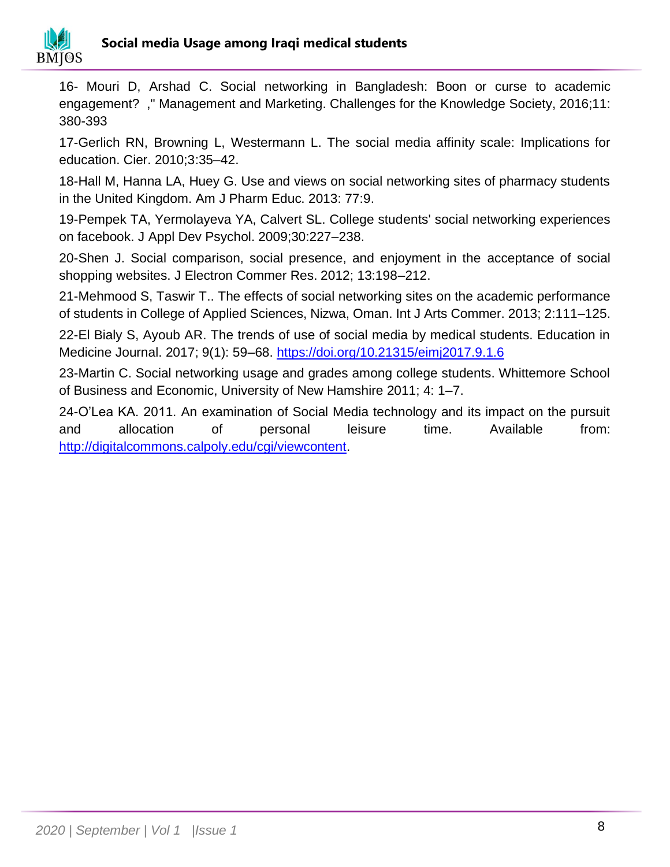

16- Mouri D, Arshad C. Social networking in Bangladesh: Boon or curse to academic engagement? ," Management and Marketing. Challenges for the Knowledge Society, 2016;11: 380-393

17-Gerlich RN, Browning L, Westermann L. The social media affinity scale: Implications for education. Cier. 2010;3:35–42.

18-Hall M, Hanna LA, Huey G. Use and views on social networking sites of pharmacy students in the United Kingdom. Am J Pharm Educ. 2013: 77:9.

19-Pempek TA, Yermolayeva YA, Calvert SL. College students' social networking experiences on facebook. J Appl Dev Psychol. 2009;30:227–238.

20-Shen J. Social comparison, social presence, and enjoyment in the acceptance of social shopping websites. J Electron Commer Res. 2012; 13:198–212.

21-Mehmood S, Taswir T.. The effects of social networking sites on the academic performance of students in College of Applied Sciences, Nizwa, Oman. Int J Arts Commer. 2013; 2:111–125.

22-El Bialy S, Ayoub AR. The trends of use of social media by medical students. Education in Medicine Journal. 2017; 9(1): 59–68.<https://doi.org/10.21315/eimj2017.9.1.6>

23-Martin C. Social networking usage and grades among college students. Whittemore School of Business and Economic, University of New Hamshire 2011; 4: 1–7.

24-O'Lea KA. 2011. An examination of Social Media technology and its impact on the pursuit and allocation of personal leisure time. Available from: [http://digitalcommons.calpoly.edu/cgi/viewcontent.](http://digitalcommons.calpoly.edu/cgi/viewcontent)